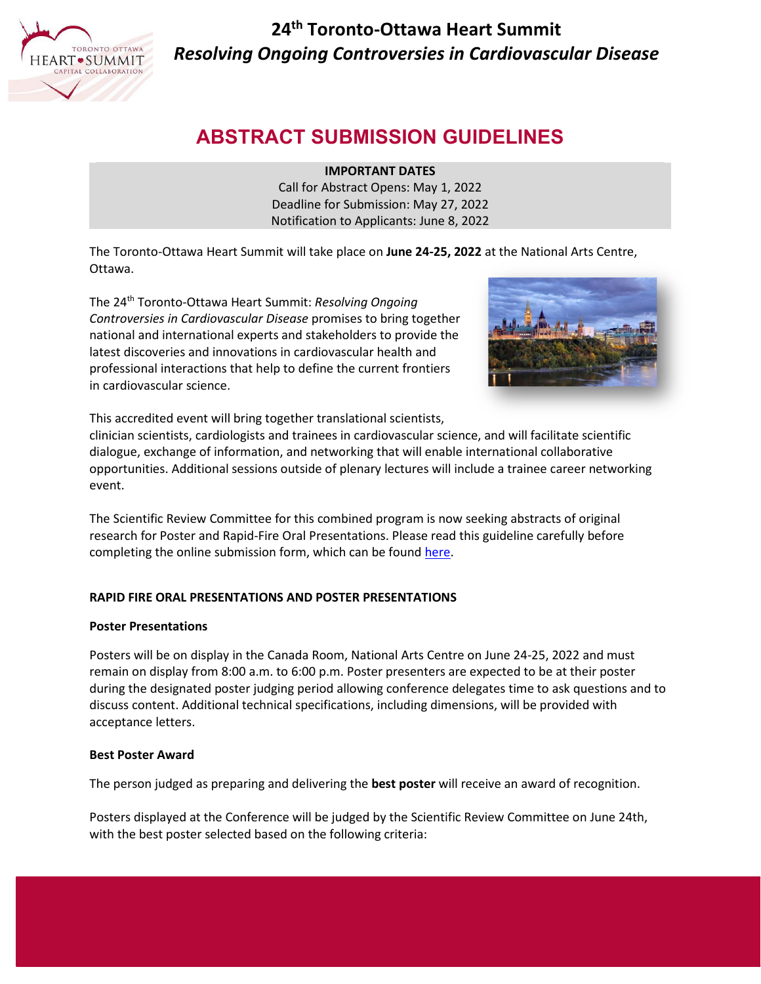

**24th Toronto-Ottawa Heart Summit** *Resolving Ongoing Controversies in Cardiovascular Disease*

# **ABSTRACT SUBMISSION GUIDELINES**

**IMPORTANT DATES**

Call for Abstract Opens: May 1, 2022 Deadline for Submission: May 27, 2022 Notification to Applicants: June 8, 2022

The Toronto-Ottawa Heart Summit will take place on **June 24-25, 2022** at the National Arts Centre, Ottawa.

The 24th Toronto-Ottawa Heart Summit: *Resolving Ongoing Controversies in Cardiovascular Disease* promises to bring together national and international experts and stakeholders to provide the latest discoveries and innovations in cardiovascular health and professional interactions that help to define the current frontiers in cardiovascular science.



This accredited event will bring together translational scientists,

clinician scientists, cardiologists and trainees in cardiovascular science, and will facilitate scientific dialogue, exchange of information, and networking that will enable international collaborative opportunities. Additional sessions outside of plenary lectures will include a trainee career networking event.

The Scientific Review Committee for this combined program is now seeking abstracts of original research for Poster and Rapid-Fire Oral Presentations. Please read this guideline carefully before completing the online submission form, which can be found [here.](https://uottawaheart-apply.smapply.io/)

## **RAPID FIRE ORAL PRESENTATIONS AND POSTER PRESENTATIONS**

## **Poster Presentations**

Posters will be on display in the Canada Room, National Arts Centre on June 24-25, 2022 and must remain on display from 8:00 a.m. to 6:00 p.m. Poster presenters are expected to be at their poster during the designated poster judging period allowing conference delegates time to ask questions and to discuss content. Additional technical specifications, including dimensions, will be provided with acceptance letters.

## **Best Poster Award**

The person judged as preparing and delivering the **best poster** will receive an award of recognition.

Posters displayed at the Conference will be judged by the Scientific Review Committee on June 24th, with the best poster selected based on the following criteria: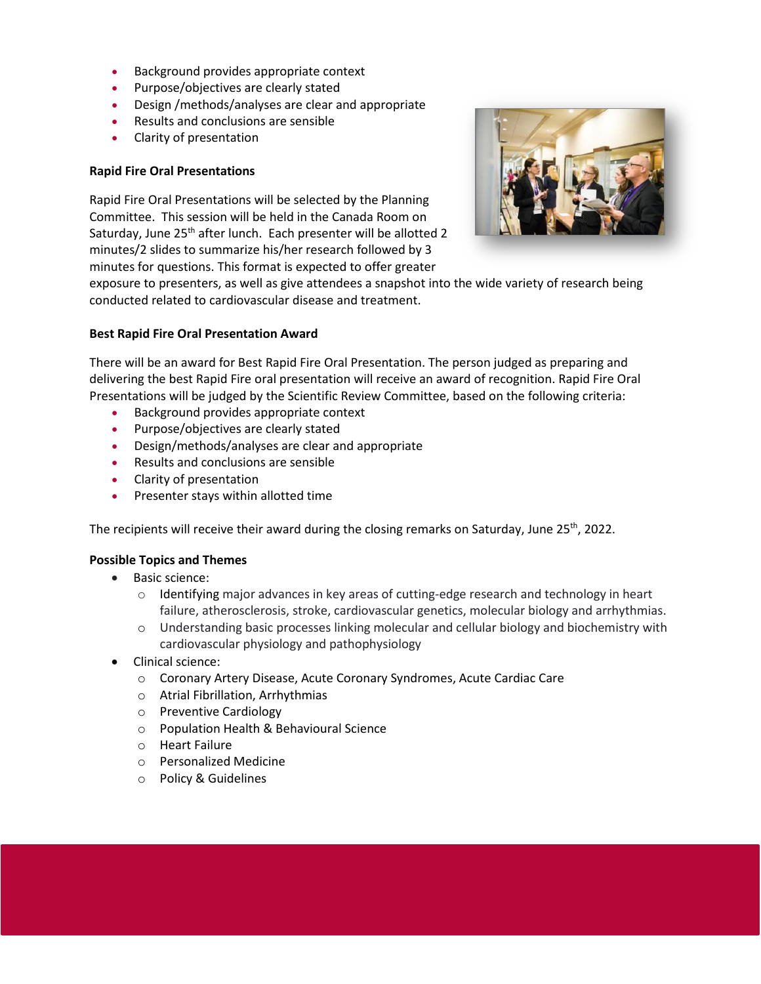- Background provides appropriate context
- Purpose/objectives are clearly stated
- Design /methods/analyses are clear and appropriate
- Results and conclusions are sensible
- Clarity of presentation

## **Rapid Fire Oral Presentations**

Rapid Fire Oral Presentations will be selected by the Planning Committee. This session will be held in the Canada Room on Saturday, June 25<sup>th</sup> after lunch. Each presenter will be allotted 2 minutes/2 slides to summarize his/her research followed by 3 minutes for questions. This format is expected to offer greater



exposure to presenters, as well as give attendees a snapshot into the wide variety of research being conducted related to cardiovascular disease and treatment.

## **Best Rapid Fire Oral Presentation Award**

There will be an award for Best Rapid Fire Oral Presentation. The person judged as preparing and delivering the best Rapid Fire oral presentation will receive an award of recognition. Rapid Fire Oral Presentations will be judged by the Scientific Review Committee, based on the following criteria:

- Background provides appropriate context
- Purpose/objectives are clearly stated
- Design/methods/analyses are clear and appropriate
- Results and conclusions are sensible
- Clarity of presentation
- Presenter stays within allotted time

The recipients will receive their award during the closing remarks on Saturday, June 25<sup>th</sup>, 2022.

## **Possible Topics and Themes**

- Basic science:
	- $\circ$  Identifying major advances in key areas of cutting-edge research and technology in heart failure, atherosclerosis, stroke, cardiovascular genetics, molecular biology and arrhythmias.
	- o Understanding basic processes linking molecular and cellular biology and biochemistry with cardiovascular physiology and pathophysiology
- Clinical science:
	- o Coronary Artery Disease, Acute Coronary Syndromes, Acute Cardiac Care
	- o Atrial Fibrillation, Arrhythmias
	- o Preventive Cardiology
	- o Population Health & Behavioural Science
	- o Heart Failure
	- o Personalized Medicine
	- o Policy & Guidelines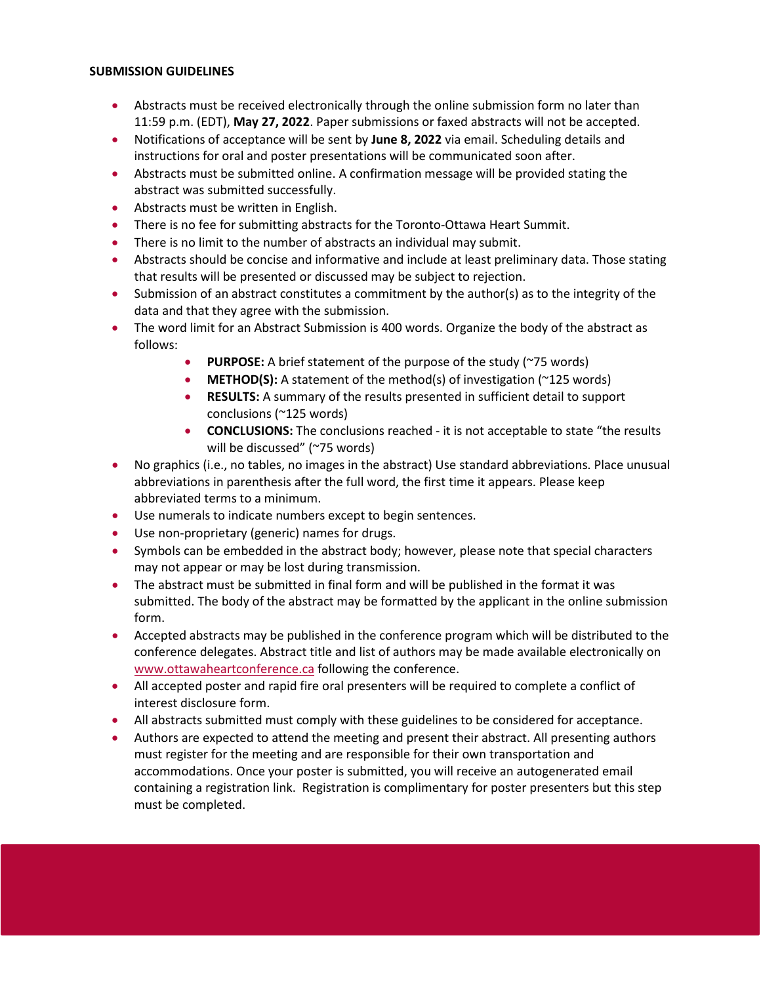#### **SUBMISSION GUIDELINES**

- Abstracts must be received electronically through the online submission form no later than 11:59 p.m. (EDT), **May 27, 2022**. Paper submissions or faxed abstracts will not be accepted.
- Notifications of acceptance will be sent by **June 8, 2022** via email. Scheduling details and instructions for oral and poster presentations will be communicated soon after.
- Abstracts must be submitted online. A confirmation message will be provided stating the abstract was submitted successfully.
- Abstracts must be written in English.
- There is no fee for submitting abstracts for the Toronto-Ottawa Heart Summit.
- There is no limit to the number of abstracts an individual may submit.
- Abstracts should be concise and informative and include at least preliminary data. Those stating that results will be presented or discussed may be subject to rejection.
- Submission of an abstract constitutes a commitment by the author(s) as to the integrity of the data and that they agree with the submission.
- The word limit for an Abstract Submission is 400 words. Organize the body of the abstract as follows:
	- **PURPOSE:** A brief statement of the purpose of the study (~75 words)
	- **METHOD(S):** A statement of the method(s) of investigation (~125 words)
	- **RESULTS:** A summary of the results presented in sufficient detail to support conclusions (~125 words)
	- **CONCLUSIONS:** The conclusions reached it is not acceptable to state "the results will be discussed" (~75 words)
- No graphics (i.e., no tables, no images in the abstract) Use standard abbreviations. Place unusual abbreviations in parenthesis after the full word, the first time it appears. Please keep abbreviated terms to a minimum.
- Use numerals to indicate numbers except to begin sentences.
- Use non-proprietary (generic) names for drugs.
- Symbols can be embedded in the abstract body; however, please note that special characters may not appear or may be lost during transmission.
- The abstract must be submitted in final form and will be published in the format it was submitted. The body of the abstract may be formatted by the applicant in the online submission form.
- Accepted abstracts may be published in the conference program which will be distributed to the conference delegates. Abstract title and list of authors may be made available electronically on [www.ottawaheartconference.ca](http://www.ottawaheartconference.ca/) following the conference.
- All accepted poster and rapid fire oral presenters will be required to complete a conflict of interest disclosure form.
- All abstracts submitted must comply with these guidelines to be considered for acceptance.
- Authors are expected to attend the meeting and present their abstract. All presenting authors must register for the meeting and are responsible for their own transportation and accommodations. Once your poster is submitted, you will receive an autogenerated email containing a registration link. Registration is complimentary for poster presenters but this step must be completed.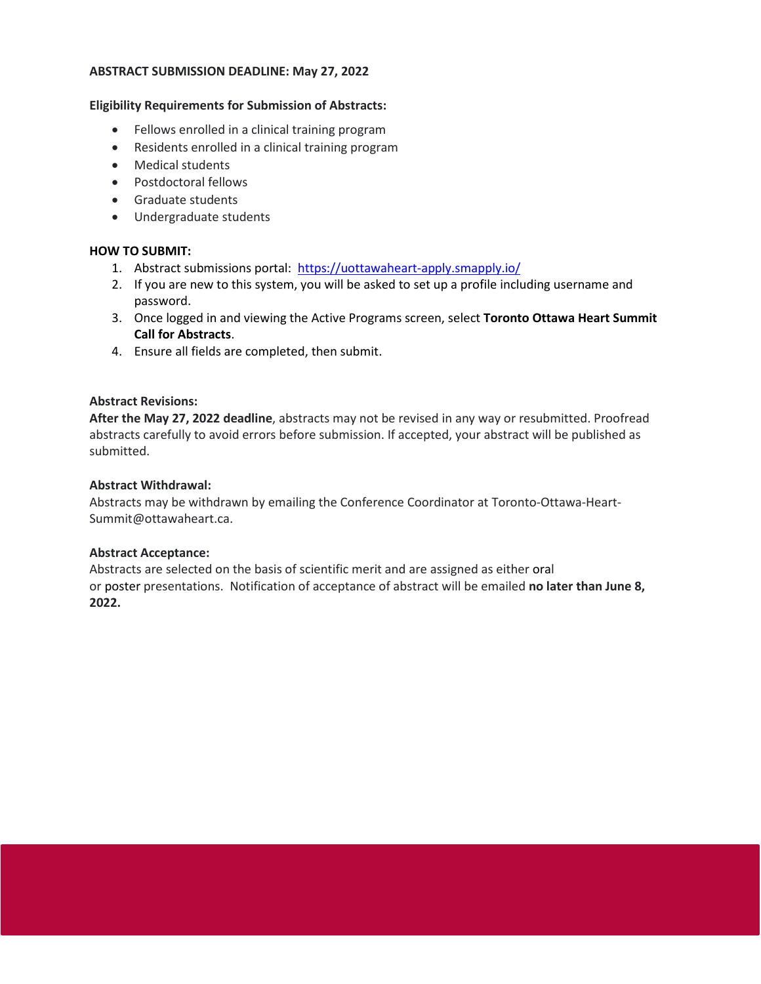#### **ABSTRACT SUBMISSION DEADLINE: May 27, 2022**

#### **Eligibility Requirements for Submission of Abstracts:**

- Fellows enrolled in a clinical training program
- Residents enrolled in a clinical training program
- Medical students
- Postdoctoral fellows
- Graduate students
- Undergraduate students

#### **HOW TO SUBMIT:**

- 1. Abstract submissions portal:<https://uottawaheart-apply.smapply.io/>
- 2. If you are new to this system, you will be asked to set up a profile including username and password.
- 3. Once logged in and viewing the Active Programs screen, select **Toronto Ottawa Heart Summit Call for Abstracts**.
- 4. Ensure all fields are completed, then submit.

## **Abstract Revisions:**

**After the May 27, 2022 deadline**, abstracts may not be revised in any way or resubmitted. Proofread abstracts carefully to avoid errors before submission. If accepted, your abstract will be published as submitted.

### **Abstract Withdrawal:**

Abstracts may be withdrawn by emailing the Conference Coordinator at Toronto-Ottawa-Heart-Summit@ottawaheart.ca.

## **Abstract Acceptance:**

Abstracts are selected on the basis of scientific merit and are assigned as either oral or poster presentations. Notification of acceptance of abstract will be emailed **no later than June 8, 2022.**